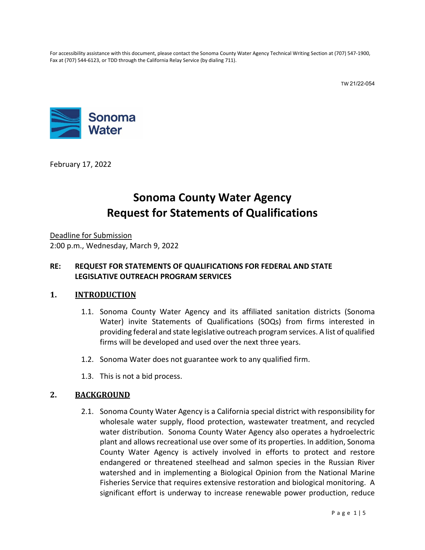For accessibility assistance with this document, please contact the Sonoma County Water Agency Technical Writing Section at (707) 547-1900, Fax at (707) 544-6123, or TDD through the California Relay Service (by dialing 711).

TW 21/22-054



February 17, 2022

# **Sonoma County Water Agency Request for Statements of Qualifications**

Deadline for Submission 2:00 p.m., Wednesday, March 9, 2022

#### **RE: REQUEST FOR STATEMENTS OF QUALIFICATIONS FOR FEDERAL AND STATE LEGISLATIVE OUTREACH PROGRAM SERVICES**

#### **1. INTRODUCTION**

- 1.1. Sonoma County Water Agency and its affiliated sanitation districts (Sonoma Water) invite Statements of Qualifications (SOQs) from firms interested in providing federal and state legislative outreach program services. A list of qualified firms will be developed and used over the next three years.
- 1.2. Sonoma Water does not guarantee work to any qualified firm.
- 1.3. This is not a bid process.

#### **2. BACKGROUND**

2.1. Sonoma County Water Agency is a California special district with responsibility for wholesale water supply, flood protection, wastewater treatment, and recycled water distribution. Sonoma County Water Agency also operates a hydroelectric plant and allows recreational use over some of its properties. In addition, Sonoma County Water Agency is actively involved in efforts to protect and restore endangered or threatened steelhead and salmon species in the Russian River watershed and in implementing a Biological Opinion from the National Marine Fisheries Service that requires extensive restoration and biological monitoring. A significant effort is underway to increase renewable power production, reduce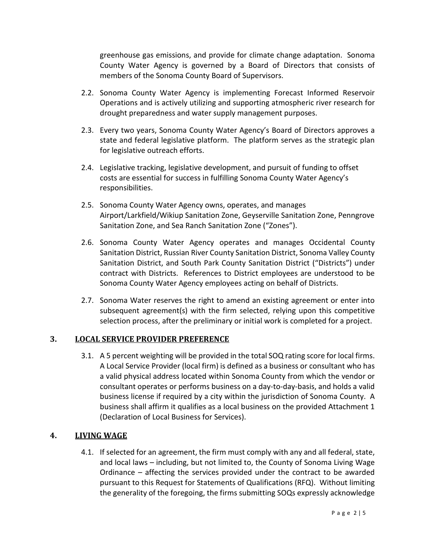greenhouse gas emissions, and provide for climate change adaptation. Sonoma County Water Agency is governed by a Board of Directors that consists of members of the Sonoma County Board of Supervisors.

- 2.2. Sonoma County Water Agency is implementing Forecast Informed Reservoir Operations and is actively utilizing and supporting atmospheric river research for drought preparedness and water supply management purposes.
- 2.3. Every two years, Sonoma County Water Agency's Board of Directors approves a state and federal legislative platform. The platform serves as the strategic plan for legislative outreach efforts.
- 2.4. Legislative tracking, legislative development, and pursuit of funding to offset costs are essential for success in fulfilling Sonoma County Water Agency's responsibilities.
- 2.5. Sonoma County Water Agency owns, operates, and manages Airport/Larkfield/Wikiup Sanitation Zone, Geyserville Sanitation Zone, Penngrove Sanitation Zone, and Sea Ranch Sanitation Zone ("Zones").
- 2.6. Sonoma County Water Agency operates and manages Occidental County Sanitation District, Russian River County Sanitation District, Sonoma Valley County Sanitation District, and South Park County Sanitation District ("Districts") under contract with Districts. References to District employees are understood to be Sonoma County Water Agency employees acting on behalf of Districts.
- 2.7. Sonoma Water reserves the right to amend an existing agreement or enter into subsequent agreement(s) with the firm selected, relying upon this competitive selection process, after the preliminary or initial work is completed for a project.

#### **3. LOCAL SERVICE PROVIDER PREFERENCE**

3.1. A 5 percent weighting will be provided in the total SOQ rating score for local firms. A Local Service Provider (local firm) is defined as a business or consultant who has a valid physical address located within Sonoma County from which the vendor or consultant operates or performs business on a day-to-day-basis, and holds a valid business license if required by a city within the jurisdiction of Sonoma County. A business shall affirm it qualifies as a local business on the provided Attachment 1 (Declaration of Local Business for Services).

#### **4. LIVING WAGE**

4.1. If selected for an agreement, the firm must comply with any and all federal, state, and local laws – including, but not limited to, the County of Sonoma Living Wage Ordinance – affecting the services provided under the contract to be awarded pursuant to this Request for Statements of Qualifications (RFQ). Without limiting the generality of the foregoing, the firms submitting SOQs expressly acknowledge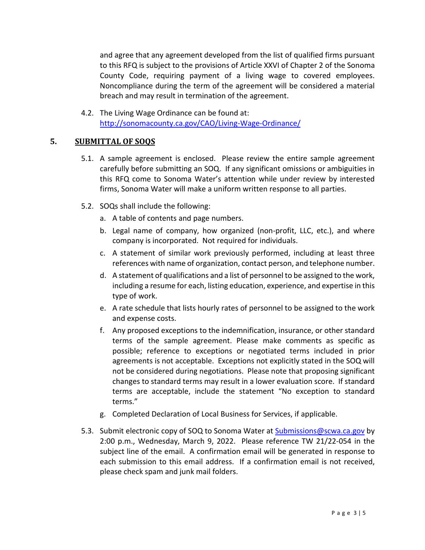and agree that any agreement developed from the list of qualified firms pursuant to this RFQ is subject to the provisions of Article XXVI of Chapter 2 of the Sonoma County Code, requiring payment of a living wage to covered employees. Noncompliance during the term of the agreement will be considered a material breach and may result in termination of the agreement.

4.2. The Living Wage Ordinance can be found at: <http://sonomacounty.ca.gov/CAO/Living-Wage-Ordinance/>

#### **5. SUBMITTAL OF SOQS**

- 5.1. A sample agreement is enclosed. Please review the entire sample agreement carefully before submitting an SOQ. If any significant omissions or ambiguities in this RFQ come to Sonoma Water's attention while under review by interested firms, Sonoma Water will make a uniform written response to all parties.
- <span id="page-2-6"></span><span id="page-2-3"></span><span id="page-2-2"></span><span id="page-2-1"></span><span id="page-2-0"></span>5.2. SOQs shall include the following:
	- a. A table of contents and page numbers.
	- b. Legal name of company, how organized (non-profit, LLC, etc.), and where company is incorporated. Not required for individuals.
	- c. A statement of similar work previously performed, including at least three references with name of organization, contact person, and telephone number.
	- d. A statement of qualifications and a list of personnel to be assigned to the work, including a resume for each, listing education, experience, and expertise in this type of work.
	- e. A rate schedule that lists hourly rates of personnel to be assigned to the work and expense costs.
	- f. Any proposed exceptions to the indemnification, insurance, or other standard terms of the sample agreement. Please make comments as specific as possible; reference to exceptions or negotiated terms included in prior agreements is not acceptable. Exceptions not explicitly stated in the SOQ will not be considered during negotiations. Please note that proposing significant changes to standard terms may result in a lower evaluation score. If standard terms are acceptable, include the statement "No exception to standard terms."
	- g. Completed Declaration of Local Business for Services, if applicable.
- <span id="page-2-5"></span><span id="page-2-4"></span>5.3. Submit electronic copy of SOQ to Sonoma Water at **[Submissions@scwa.ca.gov](mailto:Submissions@scwa.ca.gov)** by 2:00 p.m., Wednesday, March 9, 2022. Please reference TW 21/22-054 in the subject line of the email. A confirmation email will be generated in response to each submission to this email address. If a confirmation email is not received, please check spam and junk mail folders.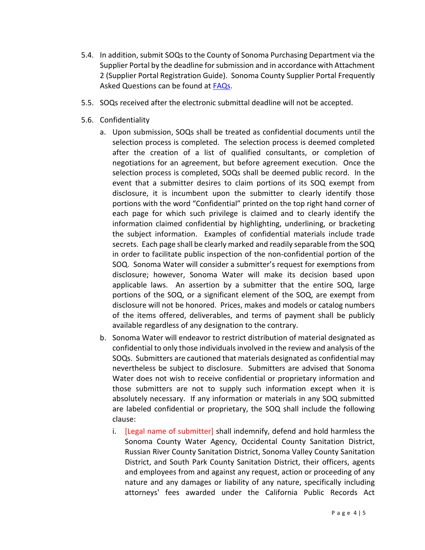- 5.4. In addition, submit SOQsto the County of Sonoma Purchasing Department via the Supplier Portal by the deadline for submission and in accordance with Attachment 2 (Supplier Portal Registration Guide). Sonoma County Supplier Portal Frequently Asked Questions can be found at **FAQs**.
- 5.5. SOQs received after the electronic submittal deadline will not be accepted.
- 5.6. Confidentiality
	- a. Upon submission, SOQs shall be treated as confidential documents until the selection process is completed. The selection process is deemed completed after the creation of a list of qualified consultants, or completion of negotiations for an agreement, but before agreement execution. Once the selection process is completed, SOQs shall be deemed public record. In the event that a submitter desires to claim portions of its SOQ exempt from disclosure, it is incumbent upon the submitter to clearly identify those portions with the word "Confidential" printed on the top right hand corner of each page for which such privilege is claimed and to clearly identify the information claimed confidential by highlighting, underlining, or bracketing the subject information. Examples of confidential materials include trade secrets. Each page shall be clearly marked and readily separable from the SOQ in order to facilitate public inspection of the non-confidential portion of the SOQ. Sonoma Water will consider a submitter's request for exemptions from disclosure; however, Sonoma Water will make its decision based upon applicable laws. An assertion by a submitter that the entire SOQ, large portions of the SOQ, or a significant element of the SOQ, are exempt from disclosure will not be honored. Prices, makes and models or catalog numbers of the items offered, deliverables, and terms of payment shall be publicly available regardless of any designation to the contrary.
	- b. Sonoma Water will endeavor to restrict distribution of material designated as confidential to only those individuals involved in the review and analysis of the SOQs. Submitters are cautioned that materials designated as confidential may nevertheless be subject to disclosure. Submitters are advised that Sonoma Water does not wish to receive confidential or proprietary information and those submitters are not to supply such information except when it is absolutely necessary. If any information or materials in any SOQ submitted are labeled confidential or proprietary, the SOQ shall include the following clause:
		- i. [Legal name of submitter] shall indemnify, defend and hold harmless the Sonoma County Water Agency, Occidental County Sanitation District, Russian River County Sanitation District, Sonoma Valley County Sanitation District, and South Park County Sanitation District, their officers, agents and employees from and against any request, action or proceeding of any nature and any damages or liability of any nature, specifically including attorneys' fees awarded under the California Public Records Act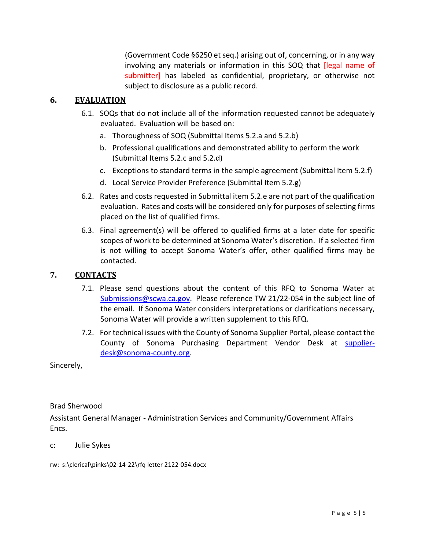(Government Code §6250 et seq.) arising out of, concerning, or in any way involving any materials or information in this SOQ that [legal name of submitter] has labeled as confidential, proprietary, or otherwise not subject to disclosure as a public record.

#### **6. EVALUATION**

- 6.1. SOQs that do not include all of the information requested cannot be adequately evaluated. Evaluation will be based on:
	- a. Thoroughness of SOQ (Submittal Items [5.2.a](#page-2-0) an[d 5.2.b\)](#page-2-1)
	- b. Professional qualifications and demonstrated ability to perform the work (Submittal Items [5.2.c](#page-2-2) and [5.2.d\)](#page-2-3)
	- c. Exceptions to standard terms in the sample agreement (Submittal Item [5.2.f\)](#page-2-4)
	- d. Local Service Provider Preference (Submittal Item [5.2.g\)](#page-2-5)
- 6.2. Rates and costs requested in Submittal ite[m 5.2.e](#page-2-6) are not part of the qualification evaluation. Rates and costs will be considered only for purposes of selecting firms placed on the list of qualified firms.
- 6.3. Final agreement(s) will be offered to qualified firms at a later date for specific scopes of work to be determined at Sonoma Water's discretion. If a selected firm is not willing to accept Sonoma Water's offer, other qualified firms may be contacted.

#### **7. CONTACTS**

- 7.1. Please send questions about the content of this RFQ to Sonoma Water at [Submissions@scwa.ca.gov.](mailto:Submissions@scwa.ca.gov) Please reference TW 21/22-054 in the subject line of the email. If Sonoma Water considers interpretations or clarifications necessary, Sonoma Water will provide a written supplement to this RFQ.
- 7.2. For technical issues with the County of Sonoma Supplier Portal, please contact the County of Sonoma Purchasing Department Vendor Desk at [supplier](mailto:supplier-desk@sonoma-county.org)[desk@sonoma-county.org.](mailto:supplier-desk@sonoma-county.org)

Sincerely,

#### Brad Sherwood

Assistant General Manager - Administration Services and Community/Government Affairs Encs.

- c: Julie Sykes
- rw: s:\clerical\pinks\02-14-22\rfq letter 2122-054.docx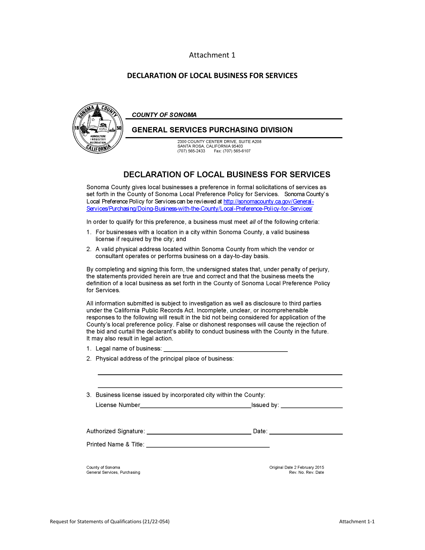#### Attachment 1

#### **DECLARATION OF LOCAL BUSINESS FOR SERVICES**



#### **DECLARATION OF LOCAL BUSINESS FOR SERVICES**

Sonoma County gives local businesses a preference in formal solicitations of services as set forth in the County of Sonoma Local Preference Policy for Services, Sonoma County's Local Preference Policy for Services can be reviewed at http://sonomacounty.ca.gov/General-Services/Purchasing/Doing-Business-with-the-County/Local-Preference-Policy-for-Services/

In order to qualify for this preference, a business must meet all of the following criteria:

- 1. For businesses with a location in a city within Sonoma County, a valid business license if required by the city; and
- 2. A valid physical address located within Sonoma County from which the vendor or consultant operates or performs business on a day-to-day basis.

By completing and signing this form, the undersigned states that, under penalty of perjury, the statements provided herein are true and correct and that the business meets the definition of a local business as set forth in the County of Sonoma Local Preference Policy for Services.

All information submitted is subject to investigation as well as disclosure to third parties under the California Public Records Act. Incomplete, unclear, or incomprehensible responses to the following will result in the bid not being considered for application of the County's local preference policy. False or dishonest responses will cause the rejection of the bid and curtail the declarant's ability to conduct business with the County in the future. It may also result in legal action.

- 1. Legal name of business:
- 2. Physical address of the principal place of business:

| 3. Business license issued by incorporated city within the County: |  |  |  |  |  |  |  |  |  |  |
|--------------------------------------------------------------------|--|--|--|--|--|--|--|--|--|--|
|--------------------------------------------------------------------|--|--|--|--|--|--|--|--|--|--|

License Number \_\_\_\_\_\_\_\_\_\_\_\_\_\_\_ lssued by: \_\_\_\_\_\_\_\_ \_

Authorized Signature: \_\_\_\_\_\_\_\_\_\_\_\_\_\_ Date: \_\_\_\_\_\_\_\_\_ \_

Printed Name & Title: \_\_\_\_\_

**County of Sonoma General Services, Purchasing**  Original Date 2 February 2015 **Rev. No. Rev. Date**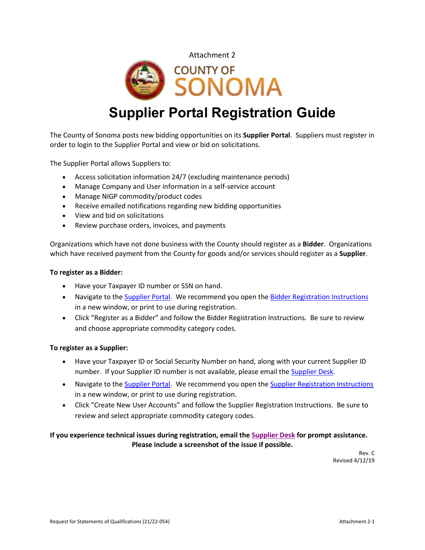



# **Supplier Portal Registration Guide**

The County of Sonoma posts new bidding opportunities on its **Supplier Portal**. Suppliers must register in order to login to the Supplier Portal and view or bid on solicitations.

The Supplier Portal allows Suppliers to:

- Access solicitation information 24/7 (excluding maintenance periods)
- Manage Company and User information in a self-service account
- Manage NIGP commodity/product codes
- Receive emailed notifications regarding new bidding opportunities
- View and bid on solicitations
- Review purchase orders, invoices, and payments

Organizations which have not done business with the County should register as a **Bidder**. Organizations which have received payment from the County for goods and/or services should register as a **Supplier**.

#### **To register as a Bidder:**

- Have your Taxpayer ID number or SSN on hand.
- Navigate to the [Supplier Portal.](https://esupplier.sonomacounty.ca.gov/) We recommend you open the [Bidder Registration](https://esupplier.sonomacounty.ca.gov/SonomaPortalDocs/Training/BidderRegistrationInstructionsADA.pdf) [Instructions](https://esupplier.sonomacounty.ca.gov/SonomaPortalDocs/Training/BidderRegistrationInstructionsADA.pdf) in a new window, or print to use during registration.
- Click "Register as a Bidder" and follow the Bidder Registration Instructions. Be sure to review and choose appropriate commodity category codes.

#### **To register as a Supplier:**

- Have your Taxpayer ID or Social Security Number on hand, along with your current Supplier ID number. If your Supplier ID number is not available, please email the [Supplier Desk.](mailto:supplier-desk@sonoma-county.org)
- Navigate to the [Supplier Portal.](https://esupplier.sonomacounty.ca.gov/) We recommend you open the [Supplier Registration](https://esupplier.sonomacounty.ca.gov/SonomaPortalDocs/Training/SupplierRegistrationInstructionsADA.pdf) [Instructions](https://esupplier.sonomacounty.ca.gov/SonomaPortalDocs/Training/SupplierRegistrationInstructionsADA.pdf) in a new window, or print to use during registration.
- Click "Create New User Accounts" and follow the Supplier Registration Instructions. Be sure to review and select appropriate commodity category codes.

#### **If you experience technical issues during registration, email th[e Supplier Desk](mailto:supplier-desk@sonoma-county.org) for prompt assistance. Please include a screenshot of the issue if possible.**

Rev. C Revised 4/12/19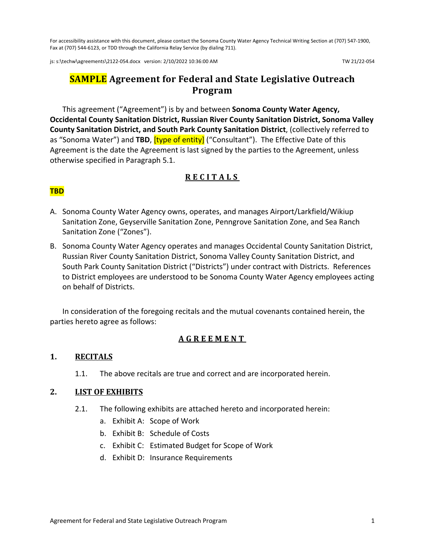For accessibility assistance with this document, please contact the Sonoma County Water Agency Technical Writing Section at (707) 547-1900, Fax at (707) 544-6123, or TDD through the California Relay Service (by dialing 711).

js: s:\techw\agreements\2122-054.docx version: 2/10/2022 10:36:00 AM TW 21/22-054

# **SAMPLE Agreement for Federal and State Legislative Outreach Program** hw\agri<br><mark>SAN</mark>

This agreement ("Agreement") is by and between **Sonoma County Water Agency, Occidental County Sanitation District, Russian River County Sanitation District, Sonoma Valley County Sanitation District, and South Park County Sanitation District**, (collectively referred to as "Sonoma Water") and **TBD**, [type of entity] ("Consultant"). The Effective Date of this Agreement is the date the Agreement is last signed by the parties to the Agreement, unless otherwise specified in Paragraph [5.1.](#page-10-0)

#### **RECIT ALS**

#### **TBD**

- **RECITALS**<br> **TBD**<br>
A. Sonoma County Water Agency owns, operates, and manages Airport/Larkfield/Wikiup Sanitation Zone, Geyserville Sanitation Zone, Penngrove Sanitation Zone, and Sea Ranch Sanitation Zone ("Zones").
- B. Sonoma County Water Agency operates and manages Occidental County Sanitation District, Russian River County Sanitation District, Sonoma Valley County Sanitation District, and South Park County Sanitation District ("Districts") under contract with Districts. References to District employees are understood to be Sonoma County Water Agency employees acting on behalf of Districts.

In consideration of the foregoing recitals and the mutual covenants contained herein, the parties hereto agree as follows:

#### **AGREEMENT**

#### **1. RECITALS**

1.1. The above recitals are true and correct and are incorporated herein.

#### **2. LIST OF EXHIBITS**

- 2.1. The following exhibits are attached hereto and incorporated herein:
	- a. Exhibit A: Scope of Work
	- b. Exhibit B: Schedule of Costs
	- c. Exhibit C: Estimated Budget for Scope of Work
	- d. Exhibit D: Insurance Requirements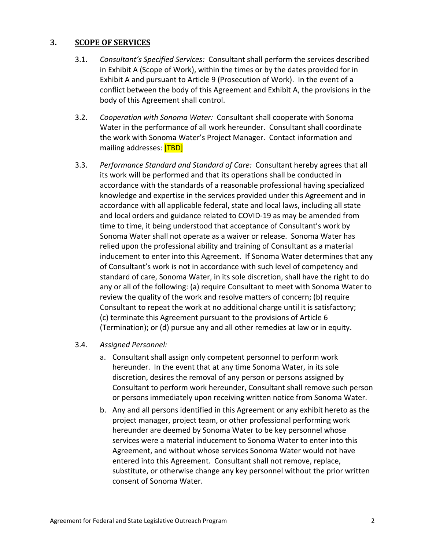#### **3. SCOPE OF SERVICES**

- 3.1. *Consultant's Specified Services:* Consultant shall perform the services described in Exhibit A (Scope of Work), within the times or by the dates provided for in Exhibit A and pursuant to Article [9 \(Prosecution of Work\)](#page-12-0). In the event of a conflict between the body of this Agreement and Exhibit A, the provisions in the body of this Agreement shall control.
- <span id="page-8-0"></span>3.2. *Cooperation with Sonoma Water:* Consultant shall cooperate with Sonoma Water in the performance of all work hereunder. Consultant shall coordinate the work with Sonoma Water's Project Manager. Contact information and mailing addresses: **[TBD]** rman<br>bma \<br><mark>[TBD</mark><br>lard c
- 3.3. *Performance Standard and Standard of Care:* Consultant hereby agrees that all its work will be performed and that its operations shall be conducted in accordance with the standards of a reasonable professional having specialized knowledge and expertise in the services provided under this Agreement and in accordance with all applicable federal, state and local laws, including all state and local orders and guidance related to COVID-19 as may be amended from time to time, it being understood that acceptance of Consultant's work by Sonoma Water shall not operate as a waiver or release. Sonoma Water has relied upon the professional ability and training of Consultant as a material inducement to enter into this Agreement. If Sonoma Water determines that any of Consultant's work is not in accordance with such level of competency and standard of care, Sonoma Water, in its sole discretion, shall have the right to do any or all of the following: (a) require Consultant to meet with Sonoma Water to review the quality of the work and resolve matters of concern; (b) require Consultant to repeat the work at no additional charge until it is satisfactory; (c) terminate this Agreement pursuant to the provisions of Article [6](#page-10-1) [\(Termination\)](#page-10-1); or (d) pursue any and all other remedies at law or in equity.

#### 3.4. *Assigned Personnel:*

- a. Consultant shall assign only competent personnel to perform work hereunder. In the event that at any time Sonoma Water, in its sole discretion, desires the removal of any person or persons assigned by Consultant to perform work hereunder, Consultant shall remove such person or persons immediately upon receiving written notice from Sonoma Water.
- b. Any and all persons identified in this Agreement or any exhibit hereto as the project manager, project team, or other professional performing work hereunder are deemed by Sonoma Water to be key personnel whose services were a material inducement to Sonoma Water to enter into this Agreement, and without whose services Sonoma Water would not have entered into this Agreement. Consultant shall not remove, replace, substitute, or otherwise change any key personnel without the prior written consent of Sonoma Water.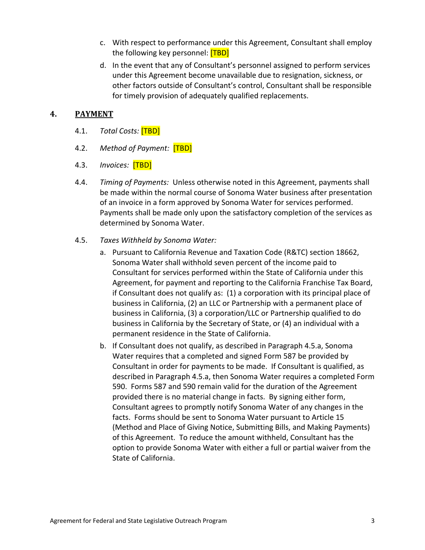- c. With respect to performance under this Agreement, Consultant shall employ the following key personnel: <mark>[TBD]</mark> eund<br><mark>[TBD</mark><br>ultar<br>neun
- d. In the event that any of Consultant's personnel assigned to perform services under this Agreement become unavailable due to resignation, sickness, or other factors outside of Consultant's control, Consultant shall be responsible for timely provision of adequately qualified replacements.

#### **4. PAYMENT**

- 4.1. *Total Costs:* [TBD] <mark>[TBD</mark><br>Paymi
- 4.2. *Method of Payment:* [TBD] TBD<br>|<br>|
- <span id="page-9-1"></span>4.3. *Invoices:* [TBD]
- 4.4. *Timing of Payments:* Unless otherwise noted in this Agreement, payments shall be made within the normal course of Sonoma Water business after presentation of an invoice in a form approved by Sonoma Water for services performed. Payments shall be made only upon the satisfactory completion of the services as determined by Sonoma Water. f Pay<br><mark>[TBD</mark><br>- Dayn
- <span id="page-9-0"></span>4.5. *Taxes Withheld by Sonoma Water:*
	- a. Pursuant to California Revenue and Taxation Code (R&TC) section 18662, Sonoma Water shall withhold seven percent of the income paid to Consultant for services performed within the State of California under this Agreement, for payment and reporting to the California Franchise Tax Board, if Consultant does not qualify as: (1) a corporation with its principal place of business in California, (2) an LLC or Partnership with a permanent place of business in California, (3) a corporation/LLC or Partnership qualified to do business in California by the Secretary of State, or (4) an individual with a permanent residence in the State of California.
	- b. If Consultant does not qualify, as described in Paragraph [4.5.a,](#page-9-0) Sonoma Water requires that a completed and signed Form 587 be provided by Consultant in order for payments to be made. If Consultant is qualified, as described in Paragraph [4.5.a,](#page-9-0) then Sonoma Water requires a completed Form 590. Forms 587 and 590 remain valid for the duration of the Agreement provided there is no material change in facts. By signing either form, Consultant agrees to promptly notify Sonoma Water of any changes in the facts. Forms should be sent to Sonoma Water pursuant to Articl[e 15](#page-17-0) [\(Method and Place of Giving Notice, Submitting Bills, and Making Payments\)](#page-17-0) of this Agreement. To reduce the amount withheld, Consultant has the option to provide Sonoma Water with either a full or partial waiver from the State of California.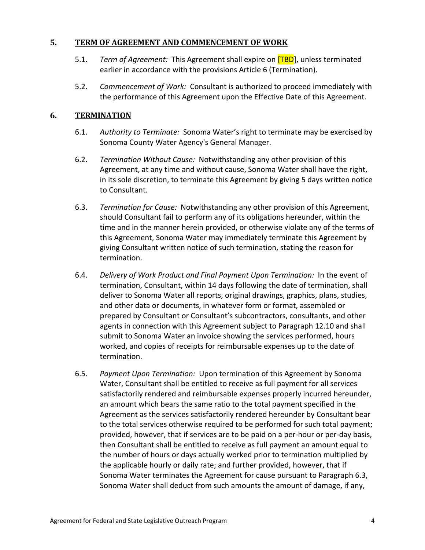#### <span id="page-10-0"></span>**5. TERM OF AGREEMENT AND COMMENCEMENT OF WORK**

- 5.1. *Term of Agreement:* This Agreement shall expire on [TBD], unless terminated earlier in accordance with the provisions Article [6 \(Termination\)](#page-10-1). <mark>RK</mark><br><mark>[TBD</mark><br>ermir
- 5.2. *Commencement of Work:* Consultant is authorized to proceed immediately with the performance of this Agreement upon the Effective Date of this Agreement.

#### <span id="page-10-1"></span>**6. TERMINATION**

- 6.1. *Authority to Terminate:* Sonoma Water's right to terminate may be exercised by Sonoma County Water Agency's General Manager.
- 6.2. *Termination Without Cause:* Notwithstanding any other provision of this Agreement, at any time and without cause, Sonoma Water shall have the right, in its sole discretion, to terminate this Agreement by giving 5 days written notice to Consultant.
- <span id="page-10-2"></span>6.3. *Termination for Cause:* Notwithstanding any other provision of this Agreement, should Consultant fail to perform any of its obligations hereunder, within the time and in the manner herein provided, or otherwise violate any of the terms of this Agreement, Sonoma Water may immediately terminate this Agreement by giving Consultant written notice of such termination, stating the reason for termination.
- 6.4. *Delivery of Work Product and Final Payment Upon Termination:* In the event of termination, Consultant, within 14 days following the date of termination, shall deliver to Sonoma Water all reports, original drawings, graphics, plans, studies, and other data or documents, in whatever form or format, assembled or prepared by Consultant or Consultant's subcontractors, consultants, and other agents in connection with this Agreement subject to Paragraph [12.10](#page-15-0) and shall submit to Sonoma Water an invoice showing the services performed, hours worked, and copies of receipts for reimbursable expenses up to the date of termination.
- 6.5. *Payment Upon Termination:* Upon termination of this Agreement by Sonoma Water, Consultant shall be entitled to receive as full payment for all services satisfactorily rendered and reimbursable expenses properly incurred hereunder, an amount which bears the same ratio to the total payment specified in the Agreement as the services satisfactorily rendered hereunder by Consultant bear to the total services otherwise required to be performed for such total payment; provided, however, that if services are to be paid on a per-hour or per-day basis, then Consultant shall be entitled to receive as full payment an amount equal to the number of hours or days actually worked prior to termination multiplied by the applicable hourly or daily rate; and further provided, however, that if Sonoma Water terminates the Agreement for cause pursuant to Paragraph [6.3,](#page-10-2) Sonoma Water shall deduct from such amounts the amount of damage, if any,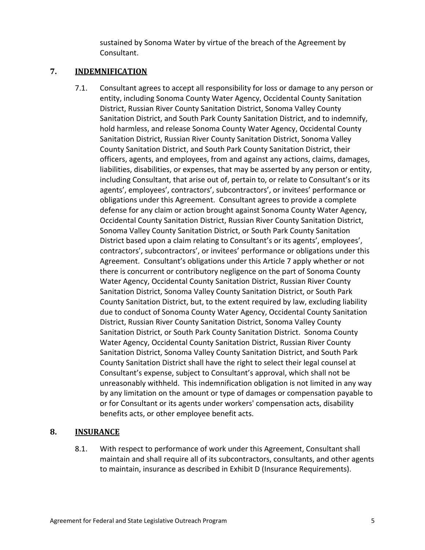sustained by Sonoma Water by virtue of the breach of the Agreement by Consultant.

#### <span id="page-11-0"></span>**7. INDEMNIFICATION**

7.1. Consultant agrees to accept all responsibility for loss or damage to any person or entity, including Sonoma County Water Agency, Occidental County Sanitation District, Russian River County Sanitation District, Sonoma Valley County Sanitation District, and South Park County Sanitation District, and to indemnify, hold harmless, and release Sonoma County Water Agency, Occidental County Sanitation District, Russian River County Sanitation District, Sonoma Valley County Sanitation District, and South Park County Sanitation District, their officers, agents, and employees, from and against any actions, claims, damages, liabilities, disabilities, or expenses, that may be asserted by any person or entity, including Consultant, that arise out of, pertain to, or relate to Consultant's or its agents', employees', contractors', subcontractors', or invitees' performance or obligations under this Agreement. Consultant agrees to provide a complete defense for any claim or action brought against Sonoma County Water Agency, Occidental County Sanitation District, Russian River County Sanitation District, Sonoma Valley County Sanitation District, or South Park County Sanitation District based upon a claim relating to Consultant's or its agents', employees', contractors', subcontractors', or invitees' performance or obligations under this Agreement. Consultant's obligations under this Article [7](#page-11-0) apply whether or not there is concurrent or contributory negligence on the part of Sonoma County Water Agency, Occidental County Sanitation District, Russian River County Sanitation District, Sonoma Valley County Sanitation District, or South Park County Sanitation District, but, to the extent required by law, excluding liability due to conduct of Sonoma County Water Agency, Occidental County Sanitation District, Russian River County Sanitation District, Sonoma Valley County Sanitation District, or South Park County Sanitation District. Sonoma County Water Agency, Occidental County Sanitation District, Russian River County Sanitation District, Sonoma Valley County Sanitation District, and South Park County Sanitation District shall have the right to select their legal counsel at Consultant's expense, subject to Consultant's approval, which shall not be unreasonably withheld. This indemnification obligation is not limited in any way by any limitation on the amount or type of damages or compensation payable to or for Consultant or its agents under workers' compensation acts, disability benefits acts, or other employee benefit acts.

#### **8. INSURANCE**

8.1. With respect to performance of work under this Agreement, Consultant shall maintain and shall require all of its subcontractors, consultants, and other agents to maintain, insurance as described in Exhibit D (Insurance Requirements).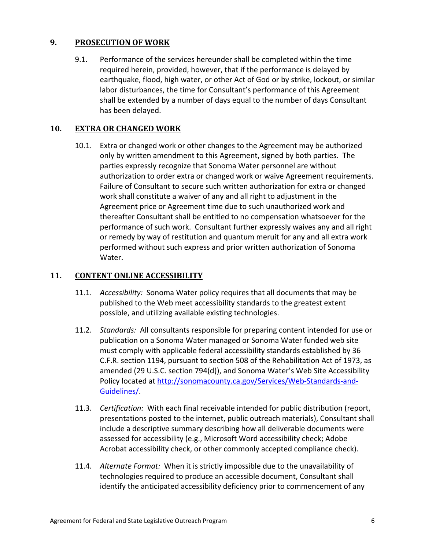#### <span id="page-12-0"></span>**9. PROSECUTION OF WORK**

9.1. Performance of the services hereunder shall be completed within the time required herein, provided, however, that if the performance is delayed by earthquake, flood, high water, or other Act of God or by strike, lockout, or similar labor disturbances, the time for Consultant's performance of this Agreement shall be extended by a number of days equal to the number of days Consultant has been delayed.

#### **10. EXTRA OR CHANGED WORK**

10.1. Extra or changed work or other changes to the Agreement may be authorized only by written amendment to this Agreement, signed by both parties. The parties expressly recognize that Sonoma Water personnel are without authorization to order extra or changed work or waive Agreement requirements. Failure of Consultant to secure such written authorization for extra or changed work shall constitute a waiver of any and all right to adjustment in the Agreement price or Agreement time due to such unauthorized work and thereafter Consultant shall be entitled to no compensation whatsoever for the performance of such work. Consultant further expressly waives any and all right or remedy by way of restitution and quantum meruit for any and all extra work performed without such express and prior written authorization of Sonoma Water.

#### <span id="page-12-1"></span>**11. CONTENT ONLINE ACCESSIBILITY**

- 11.1. *Accessibility:* Sonoma Water policy requires that all documents that may be published to the Web meet accessibility standards to the greatest extent possible, and utilizing available existing technologies.
- 11.2. *Standards:* All consultants responsible for preparing content intended for use or publication on a Sonoma Water managed or Sonoma Water funded web site must comply with applicable federal accessibility standards established by 36 C.F.R. section 1194, pursuant to section 508 of the Rehabilitation Act of 1973, as amended (29 U.S.C. section 794(d)), and Sonoma Water's Web Site Accessibility Policy located at [http://sonomacounty.ca.gov/Services/Web-Standards-and-](http://sonomacounty.ca.gov/Services/Web-Standards-and-Guidelines/)[Guidelines/.](http://sonomacounty.ca.gov/Services/Web-Standards-and-Guidelines/)
- 11.3. *Certification:* With each final receivable intended for public distribution (report, presentations posted to the internet, public outreach materials), Consultant shall include a descriptive summary describing how all deliverable documents were assessed for accessibility (e.g., Microsoft Word accessibility check; Adobe Acrobat accessibility check, or other commonly accepted compliance check).
- 11.4. *Alternate Format:* When it is strictly impossible due to the unavailability of technologies required to produce an accessible document, Consultant shall identify the anticipated accessibility deficiency prior to commencement of any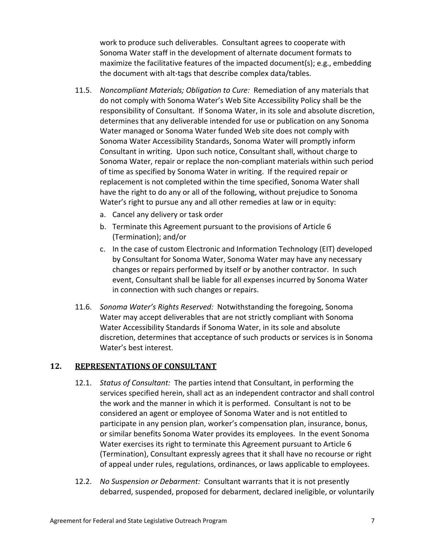work to produce such deliverables. Consultant agrees to cooperate with Sonoma Water staff in the development of alternate document formats to maximize the facilitative features of the impacted document(s); e.g., embedding the document with alt-tags that describe complex data/tables.

- 11.5. *Noncompliant Materials; Obligation to Cure:* Remediation of any materials that do not comply with Sonoma Water's Web Site Accessibility Policy shall be the responsibility of Consultant. If Sonoma Water, in its sole and absolute discretion, determines that any deliverable intended for use or publication on any Sonoma Water managed or Sonoma Water funded Web site does not comply with Sonoma Water Accessibility Standards, Sonoma Water will promptly inform Consultant in writing. Upon such notice, Consultant shall, without charge to Sonoma Water, repair or replace the non-compliant materials within such period of time as specified by Sonoma Water in writing. If the required repair or replacement is not completed within the time specified, Sonoma Water shall have the right to do any or all of the following, without prejudice to Sonoma Water's right to pursue any and all other remedies at law or in equity:
	- a. Cancel any delivery or task order
	- b. Terminate this Agreement pursuant to the provisions of Article [6](#page-10-1) [\(Termination\)](#page-10-1); and/or
	- c. In the case of custom Electronic and Information Technology (EIT) developed by Consultant for Sonoma Water, Sonoma Water may have any necessary changes or repairs performed by itself or by another contractor. In such event, Consultant shall be liable for all expenses incurred by Sonoma Water in connection with such changes or repairs.
- 11.6. *Sonoma Water's Rights Reserved:* Notwithstanding the foregoing, Sonoma Water may accept deliverables that are not strictly compliant with Sonoma Water Accessibility Standards if Sonoma Water, in its sole and absolute discretion, determines that acceptance of such products or services is in Sonoma Water's best interest.

#### **12. REPRESENTATIONS OF CONSULTANT**

- 12.1. *Status of Consultant:* The parties intend that Consultant, in performing the services specified herein, shall act as an independent contractor and shall control the work and the manner in which it is performed. Consultant is not to be considered an agent or employee of Sonoma Water and is not entitled to participate in any pension plan, worker's compensation plan, insurance, bonus, or similar benefits Sonoma Water provides its employees. In the event Sonoma Water exercises its right to terminate this Agreement pursuant to Article [6](#page-10-1) [\(Termination\)](#page-10-1), Consultant expressly agrees that it shall have no recourse or right of appeal under rules, regulations, ordinances, or laws applicable to employees.
- 12.2. *No Suspension or Debarment:* Consultant warrants that it is not presently debarred, suspended, proposed for debarment, declared ineligible, or voluntarily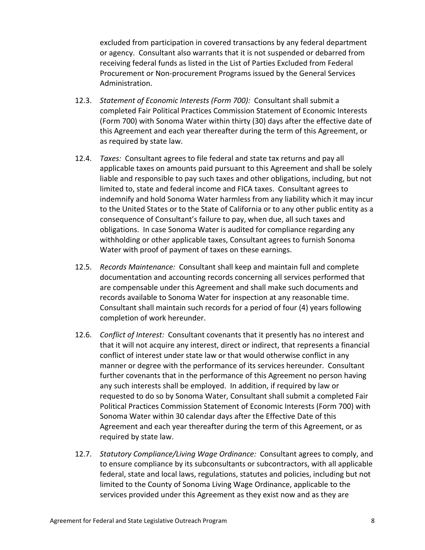excluded from participation in covered transactions by any federal department or agency. Consultant also warrants that it is not suspended or debarred from receiving federal funds as listed in the List of Parties Excluded from Federal Procurement or Non-procurement Programs issued by the General Services Administration.

- 12.3. *Statement of Economic Interests (Form 700):* Consultant shall submit a completed Fair Political Practices Commission Statement of Economic Interests (Form 700) with Sonoma Water within thirty (30) days after the effective date of this Agreement and each year thereafter during the term of this Agreement, or as required by state law.
- 12.4. *Taxes:* Consultant agrees to file federal and state tax returns and pay all applicable taxes on amounts paid pursuant to this Agreement and shall be solely liable and responsible to pay such taxes and other obligations, including, but not limited to, state and federal income and FICA taxes. Consultant agrees to indemnify and hold Sonoma Water harmless from any liability which it may incur to the United States or to the State of California or to any other public entity as a consequence of Consultant's failure to pay, when due, all such taxes and obligations. In case Sonoma Water is audited for compliance regarding any withholding or other applicable taxes, Consultant agrees to furnish Sonoma Water with proof of payment of taxes on these earnings.
- 12.5. *Records Maintenance:* Consultant shall keep and maintain full and complete documentation and accounting records concerning all services performed that are compensable under this Agreement and shall make such documents and records available to Sonoma Water for inspection at any reasonable time. Consultant shall maintain such records for a period of four (4) years following completion of work hereunder.
- 12.6. *Conflict of Interest:* Consultant covenants that it presently has no interest and that it will not acquire any interest, direct or indirect, that represents a financial conflict of interest under state law or that would otherwise conflict in any manner or degree with the performance of its services hereunder. Consultant further covenants that in the performance of this Agreement no person having any such interests shall be employed. In addition, if required by law or requested to do so by Sonoma Water, Consultant shall submit a completed Fair Political Practices Commission Statement of Economic Interests (Form 700) with Sonoma Water within 30 calendar days after the Effective Date of this Agreement and each year thereafter during the term of this Agreement, or as required by state law.
- 12.7. *Statutory Compliance/Living Wage Ordinance:* Consultant agrees to comply, and to ensure compliance by its subconsultants or subcontractors, with all applicable federal, state and local laws, regulations, statutes and policies, including but not limited to the County of Sonoma Living Wage Ordinance, applicable to the services provided under this Agreement as they exist now and as they are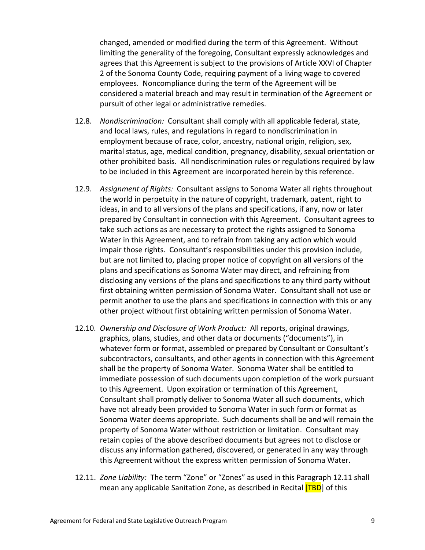changed, amended or modified during the term of this Agreement. Without limiting the generality of the foregoing, Consultant expressly acknowledges and agrees that this Agreement is subject to the provisions of Article XXVI of Chapter 2 of the Sonoma County Code, requiring payment of a living wage to covered employees. Noncompliance during the term of the Agreement will be considered a material breach and may result in termination of the Agreement or pursuit of other legal or administrative remedies.

- 12.8. *Nondiscrimination:* Consultant shall comply with all applicable federal, state, and local laws, rules, and regulations in regard to nondiscrimination in employment because of race, color, ancestry, national origin, religion, sex, marital status, age, medical condition, pregnancy, disability, sexual orientation or other prohibited basis. All nondiscrimination rules or regulations required by law to be included in this Agreement are incorporated herein by this reference.
- 12.9. *Assignment of Rights:* Consultant assigns to Sonoma Water all rights throughout the world in perpetuity in the nature of copyright, trademark, patent, right to ideas, in and to all versions of the plans and specifications, if any, now or later prepared by Consultant in connection with this Agreement. Consultant agrees to take such actions as are necessary to protect the rights assigned to Sonoma Water in this Agreement, and to refrain from taking any action which would impair those rights. Consultant's responsibilities under this provision include, but are not limited to, placing proper notice of copyright on all versions of the plans and specifications as Sonoma Water may direct, and refraining from disclosing any versions of the plans and specifications to any third party without first obtaining written permission of Sonoma Water. Consultant shall not use or permit another to use the plans and specifications in connection with this or any other project without first obtaining written permission of Sonoma Water.
- <span id="page-15-0"></span>12.10. *Ownership and Disclosure of Work Product:* All reports, original drawings, graphics, plans, studies, and other data or documents ("documents"), in whatever form or format, assembled or prepared by Consultant or Consultant's subcontractors, consultants, and other agents in connection with this Agreement shall be the property of Sonoma Water. Sonoma Water shall be entitled to immediate possession of such documents upon completion of the work pursuant to this Agreement. Upon expiration or termination of this Agreement, Consultant shall promptly deliver to Sonoma Water all such documents, which have not already been provided to Sonoma Water in such form or format as Sonoma Water deems appropriate. Such documents shall be and will remain the property of Sonoma Water without restriction or limitation. Consultant may retain copies of the above described documents but agrees not to disclose or discuss any information gathered, discovered, or generated in any way through this Agreement without the express written permission of Sonoma Water.
- <span id="page-15-1"></span>12.11. *Zone Liability:* The term "Zone" or "Zones" as used in this Paragraph [12.11](#page-15-1) shall Zone Liability: The term "Zone" or "Zones" as used in this Paragraph 12.1 mean any applicable Sanitation Zone, as described in Recital **[TBD**] of this -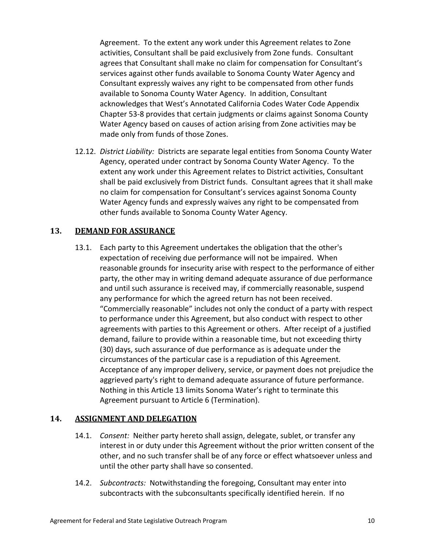Agreement. To the extent any work under this Agreement relates to Zone activities, Consultant shall be paid exclusively from Zone funds. Consultant agrees that Consultant shall make no claim for compensation for Consultant's services against other funds available to Sonoma County Water Agency and Consultant expressly waives any right to be compensated from other funds available to Sonoma County Water Agency. In addition, Consultant acknowledges that West's Annotated California Codes Water Code Appendix Chapter 53-8 provides that certain judgments or claims against Sonoma County Water Agency based on causes of action arising from Zone activities may be made only from funds of those Zones.

12.12. *District Liability:* Districts are separate legal entities from Sonoma County Water Agency, operated under contract by Sonoma County Water Agency. To the extent any work under this Agreement relates to District activities, Consultant shall be paid exclusively from District funds. Consultant agrees that it shall make no claim for compensation for Consultant's services against Sonoma County Water Agency funds and expressly waives any right to be compensated from other funds available to Sonoma County Water Agency.

#### <span id="page-16-0"></span>**13. DEMAND FOR ASSURANCE**

13.1. Each party to this Agreement undertakes the obligation that the other's expectation of receiving due performance will not be impaired. When reasonable grounds for insecurity arise with respect to the performance of either party, the other may in writing demand adequate assurance of due performance and until such assurance is received may, if commercially reasonable, suspend any performance for which the agreed return has not been received. "Commercially reasonable" includes not only the conduct of a party with respect to performance under this Agreement, but also conduct with respect to other agreements with parties to this Agreement or others. After receipt of a justified demand, failure to provide within a reasonable time, but not exceeding thirty (30) days, such assurance of due performance as is adequate under the circumstances of the particular case is a repudiation of this Agreement. Acceptance of any improper delivery, service, or payment does not prejudice the aggrieved party's right to demand adequate assurance of future performance. Nothing in this Article [13](#page-16-0) limits Sonoma Water's right to terminate this Agreement pursuant to Article [6](#page-10-1) [\(Termination\)](#page-10-1).

#### **14. ASSIGNMENT AND DELEGATION**

- 14.1. *Consent:* Neither party hereto shall assign, delegate, sublet, or transfer any interest in or duty under this Agreement without the prior written consent of the other, and no such transfer shall be of any force or effect whatsoever unless and until the other party shall have so consented.
- <span id="page-16-1"></span>14.2. *Subcontracts:* Notwithstanding the foregoing, Consultant may enter into subcontracts with the subconsultants specifically identified herein. If no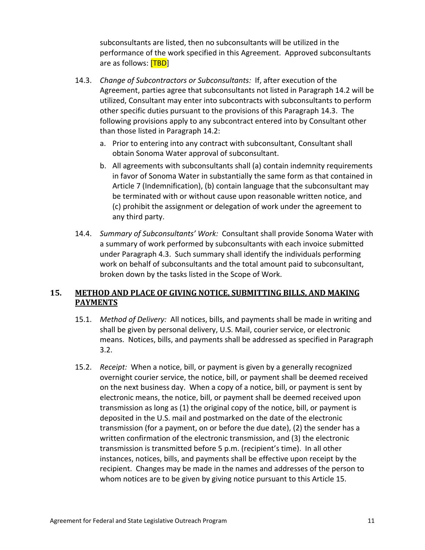subconsultants are listed, then no subconsultants will be utilized in the performance of the work specified in this Agreement. Approved subconsultants are as follows: [TBD] are |<br>f the<br><del>[TBD</del><br>:

- <span id="page-17-1"></span>14.3. *Change of Subcontractors or Subconsultants:* If, after execution of the Agreement, parties agree that subconsultants not listed in Paragraph [14.2](#page-16-1) will be utilized, Consultant may enter into subcontracts with subconsultants to perform other specific duties pursuant to the provisions of this Paragraph [14.3.](#page-17-1) The following provisions apply to any subcontract entered into by Consultant other than those listed in Paragraph [14.2:](#page-16-1)
	- a. Prior to entering into any contract with subconsultant, Consultant shall obtain Sonoma Water approval of subconsultant.
	- b. All agreements with subconsultants shall (a) contain indemnity requirements in favor of Sonoma Water in substantially the same form as that contained in Article [7 \(Indemnification\)](#page-11-0), (b) contain language that the subconsultant may be terminated with or without cause upon reasonable written notice, and (c) prohibit the assignment or delegation of work under the agreement to any third party.
- 14.4. *Summary of Subconsultants' Work:* Consultant shall provide Sonoma Water with a summary of work performed by subconsultants with each invoice submitted under Paragraph [4.3.](#page-9-1) Such summary shall identify the individuals performing work on behalf of subconsultants and the total amount paid to subconsultant, broken down by the tasks listed in the Scope of Work.

#### <span id="page-17-0"></span>**15. METHOD AND PLACE OF GIVING NOTICE, SUBMITTING BILLS, AND MAKING PAYMENTS**

- 15.1. *Method of Delivery:* All notices, bills, and payments shall be made in writing and shall be given by personal delivery, U.S. Mail, courier service, or electronic means. Notices, bills, and payments shall be addressed as specified in Paragraph [3.2.](#page-8-0)
- 15.2. *Receipt:* When a notice, bill, or payment is given by a generally recognized overnight courier service, the notice, bill, or payment shall be deemed received on the next business day. When a copy of a notice, bill, or payment is sent by electronic means, the notice, bill, or payment shall be deemed received upon transmission as long as (1) the original copy of the notice, bill, or payment is deposited in the U.S. mail and postmarked on the date of the electronic transmission (for a payment, on or before the due date), (2) the sender has a written confirmation of the electronic transmission, and (3) the electronic transmission is transmitted before 5 p.m. (recipient's time). In all other instances, notices, bills, and payments shall be effective upon receipt by the recipient. Changes may be made in the names and addresses of the person to whom notices are to be given by giving notice pursuant to this Article [15.](#page-17-0)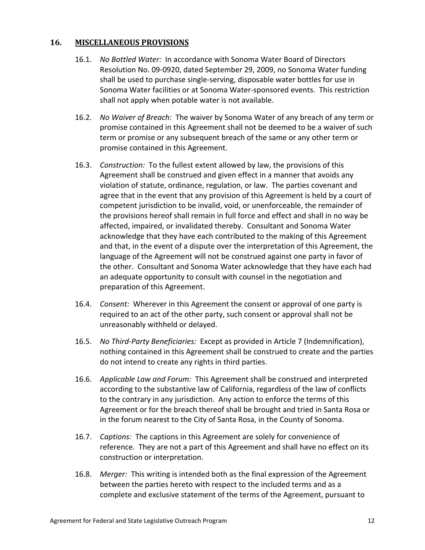#### **16. MISCELLANEOUS PROVISIONS**

- 16.1. *No Bottled Water:* In accordance with Sonoma Water Board of Directors Resolution No. 09-0920, dated September 29, 2009, no Sonoma Water funding shall be used to purchase single-serving, disposable water bottles for use in Sonoma Water facilities or at Sonoma Water-sponsored events. This restriction shall not apply when potable water is not available.
- 16.2. *No Waiver of Breach:* The waiver by Sonoma Water of any breach of any term or promise contained in this Agreement shall not be deemed to be a waiver of such term or promise or any subsequent breach of the same or any other term or promise contained in this Agreement.
- 16.3. *Construction:* To the fullest extent allowed by law, the provisions of this Agreement shall be construed and given effect in a manner that avoids any violation of statute, ordinance, regulation, or law. The parties covenant and agree that in the event that any provision of this Agreement is held by a court of competent jurisdiction to be invalid, void, or unenforceable, the remainder of the provisions hereof shall remain in full force and effect and shall in no way be affected, impaired, or invalidated thereby. Consultant and Sonoma Water acknowledge that they have each contributed to the making of this Agreement and that, in the event of a dispute over the interpretation of this Agreement, the language of the Agreement will not be construed against one party in favor of the other. Consultant and Sonoma Water acknowledge that they have each had an adequate opportunity to consult with counsel in the negotiation and preparation of this Agreement.
- 16.4. *Consent:* Wherever in this Agreement the consent or approval of one party is required to an act of the other party, such consent or approval shall not be unreasonably withheld or delayed.
- 16.5. *No Third-Party Beneficiaries:* Except as provided in Article [7](#page-11-0) [\(Indemnification\)](#page-11-0), nothing contained in this Agreement shall be construed to create and the parties do not intend to create any rights in third parties.
- 16.6. *Applicable Law and Forum:* This Agreement shall be construed and interpreted according to the substantive law of California, regardless of the law of conflicts to the contrary in any jurisdiction. Any action to enforce the terms of this Agreement or for the breach thereof shall be brought and tried in Santa Rosa or in the forum nearest to the City of Santa Rosa, in the County of Sonoma.
- 16.7. *Captions:* The captions in this Agreement are solely for convenience of reference. They are not a part of this Agreement and shall have no effect on its construction or interpretation.
- 16.8. *Merger:* This writing is intended both as the final expression of the Agreement between the parties hereto with respect to the included terms and as a complete and exclusive statement of the terms of the Agreement, pursuant to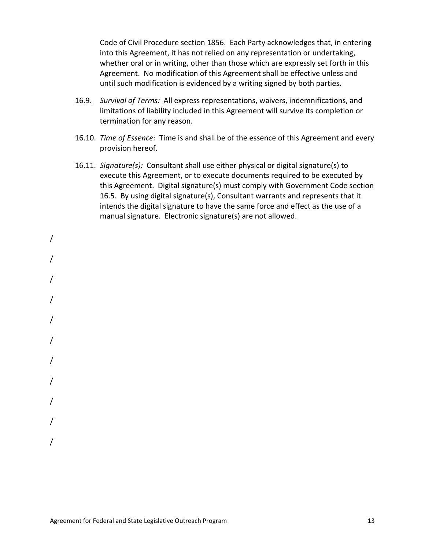Code of Civil Procedure section 1856. Each Party acknowledges that, in entering into this Agreement, it has not relied on any representation or undertaking, whether oral or in writing, other than those which are expressly set forth in this Agreement. No modification of this Agreement shall be effective unless and until such modification is evidenced by a writing signed by both parties.

- 16.9. *Survival of Terms:* All express representations, waivers, indemnifications, and limitations of liability included in this Agreement will survive its completion or termination for any reason.
- 16.10. *Time of Essence:* Time is and shall be of the essence of this Agreement and every provision hereof.
- 16.11. *Signature(s):* Consultant shall use either physical or digital signature(s) to execute this Agreement, or to execute documents required to be executed by this Agreement. Digital signature(s) must comply with Government Code section 16.5. By using digital signature(s), Consultant warrants and represents that it intends the digital signature to have the same force and effect as the use of a manual signature. Electronic signature(s) are not allowed.

/ / / / / / / / / / /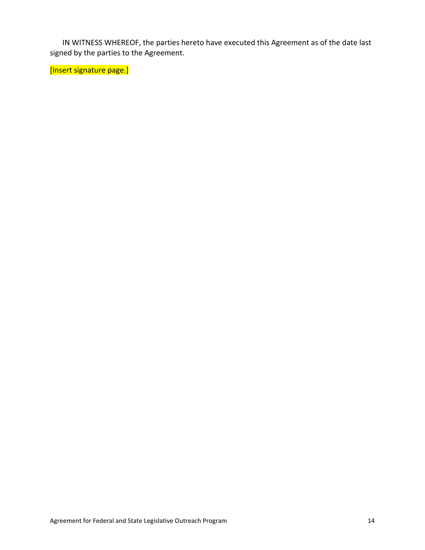IN WITNESS WHEREOF, the parties hereto have executed this Agreement as of the date last signed by the parties to the Agreement.

[Insert signature page.]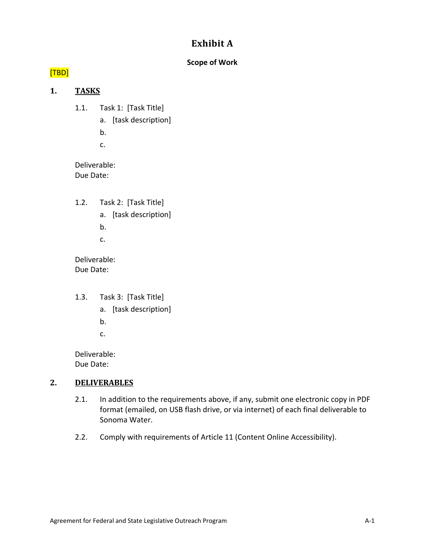## **Exhibit A**

#### **Scope of Work**

# [TBD] <mark>[TBD</mark><br>1.

#### **1. TASKS**

- 1.1. Task 1: [Task Title]
	- a. [task description]
	- b.
	- c.

Deliverable: Due Date:

- 1.2. Task 2: [Task Title]
	- a. [task description]
	- b.
	- c.

Deliverable: Due Date:

- 1.3. Task 3: [Task Title]
	- a. [task description]
	- b.
	- c.

Deliverable: Due Date:

#### **2. DELIVERABLES**

- 2.1. In addition to the requirements above, if any, submit one electronic copy in PDF format (emailed, on USB flash drive, or via internet) of each final deliverable to Sonoma Water.
- 2.2. Comply with requirements of Article [11 \(Content Online Accessibility\)](#page-12-1).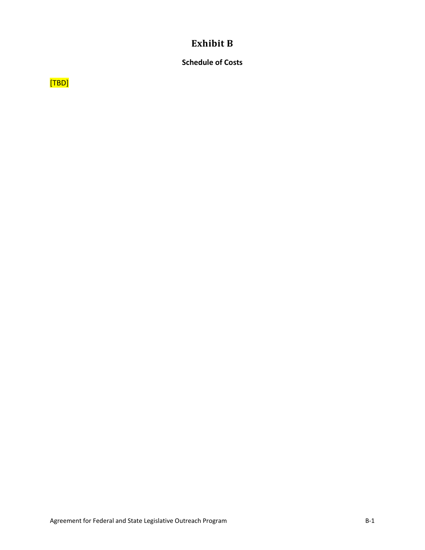### **Exhibit B**

#### **Schedule of Costs**

 $[TBD]$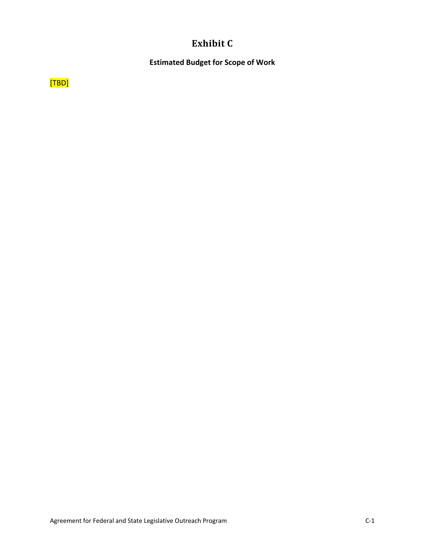# **Exhibit C**

#### **Estimated Budget for Scope of Work**

 $[TBD]$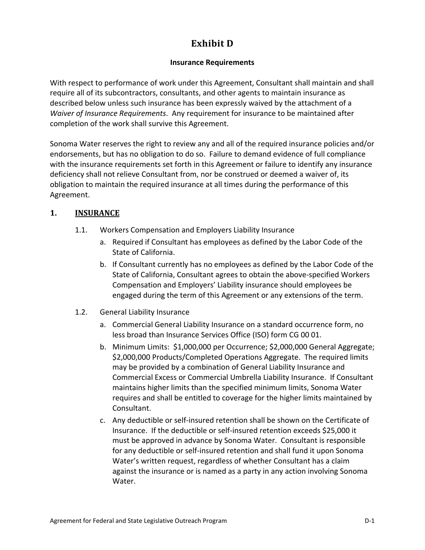## **Exhibit D**

#### **Insurance Requirements**

With respect to performance of work under this Agreement, Consultant shall maintain and shall require all of its subcontractors, consultants, and other agents to maintain insurance as described below unless such insurance has been expressly waived by the attachment of a *Waiver of Insurance Requirements*. Any requirement for insurance to be maintained after completion of the work shall survive this Agreement.

Sonoma Water reserves the right to review any and all of the required insurance policies and/or endorsements, but has no obligation to do so. Failure to demand evidence of full compliance with the insurance requirements set forth in this Agreement or failure to identify any insurance deficiency shall not relieve Consultant from, nor be construed or deemed a waiver of, its obligation to maintain the required insurance at all times during the performance of this Agreement.

#### <span id="page-24-0"></span>**1. INSURANCE**

- 1.1. Workers Compensation and Employers Liability Insurance
	- a. Required if Consultant has employees as defined by the Labor Code of the State of California.
	- b. If Consultant currently has no employees as defined by the Labor Code of the State of California, Consultant agrees to obtain the above-specified Workers Compensation and Employers' Liability insurance should employees be engaged during the term of this Agreement or any extensions of the term.
- <span id="page-24-1"></span>1.2. General Liability Insurance
	- a. Commercial General Liability Insurance on a standard occurrence form, no less broad than Insurance Services Office (ISO) form CG 00 01.
	- b. Minimum Limits: \$1,000,000 per Occurrence; \$2,000,000 General Aggregate; \$2,000,000 Products/Completed Operations Aggregate. The required limits may be provided by a combination of General Liability Insurance and Commercial Excess or Commercial Umbrella Liability Insurance. If Consultant maintains higher limits than the specified minimum limits, Sonoma Water requires and shall be entitled to coverage for the higher limits maintained by Consultant.
	- c. Any deductible or self-insured retention shall be shown on the Certificate of Insurance. If the deductible or self-insured retention exceeds \$25,000 it must be approved in advance by Sonoma Water. Consultant is responsible for any deductible or self-insured retention and shall fund it upon Sonoma Water's written request, regardless of whether Consultant has a claim against the insurance or is named as a party in any action involving Sonoma Water.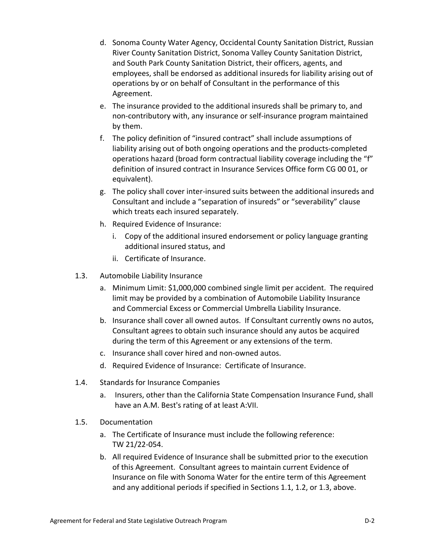- d. Sonoma County Water Agency, Occidental County Sanitation District, Russian River County Sanitation District, Sonoma Valley County Sanitation District, and South Park County Sanitation District, their officers, agents, and employees, shall be endorsed as additional insureds for liability arising out of operations by or on behalf of Consultant in the performance of this Agreement.
- e. The insurance provided to the additional insureds shall be primary to, and non-contributory with, any insurance or self-insurance program maintained by them.
- f. The policy definition of "insured contract" shall include assumptions of liability arising out of both ongoing operations and the products-completed operations hazard (broad form contractual liability coverage including the "f" definition of insured contract in Insurance Services Office form CG 00 01, or equivalent).
- g. The policy shall cover inter-insured suits between the additional insureds and Consultant and include a "separation of insureds" or "severability" clause which treats each insured separately.
- h. Required Evidence of Insurance:
	- i. Copy of the additional insured endorsement or policy language granting additional insured status, and
	- ii. Certificate of Insurance.
- <span id="page-25-0"></span>1.3. Automobile Liability Insurance
	- a. Minimum Limit: \$1,000,000 combined single limit per accident. The required limit may be provided by a combination of Automobile Liability Insurance and Commercial Excess or Commercial Umbrella Liability Insurance.
	- b. Insurance shall cover all owned autos. If Consultant currently owns no autos, Consultant agrees to obtain such insurance should any autos be acquired during the term of this Agreement or any extensions of the term.
	- c. Insurance shall cover hired and non-owned autos.
	- d. Required Evidence of Insurance: Certificate of Insurance.
- 1.4. Standards for Insurance Companies
	- a. Insurers, other than the California State Compensation Insurance Fund, shall have an A.M. Best's rating of at least A:VII.
- 1.5. Documentation
	- a. The Certificate of Insurance must include the following reference: TW 21/22-054.
	- b. All required Evidence of Insurance shall be submitted prior to the execution of this Agreement. Consultant agrees to maintain current Evidence of Insurance on file with Sonoma Water for the entire term of this Agreement and any additional periods if specified in Section[s 1.1,](#page-24-0) [1.2,](#page-24-1) or [1.3,](#page-25-0) above.